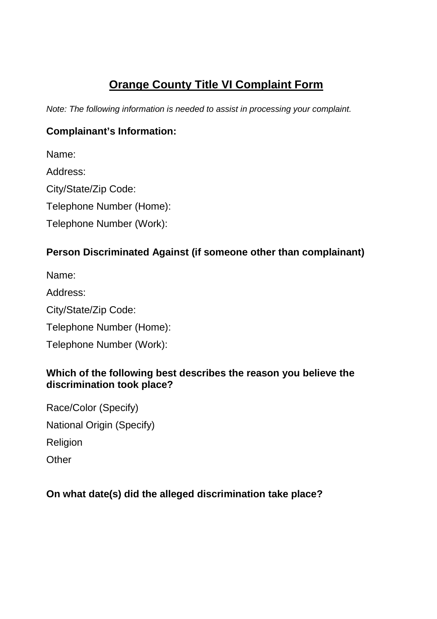# **Orange County Title VI Complaint Form**

Note: The following information is needed to assist in processing your complaint.

### **Complainant's Information:**

Name:

Address:

City/State/Zip Code:

Telephone Number (Home):

Telephone Number (Work):

## **Person Discriminated Against (if someone other than complainant)**

Name:

Address:

City/State/Zip Code:

Telephone Number (Home):

Telephone Number (Work):

#### **Which of the following best describes the reason you believe the discrimination took place?**

Race/Color (Specify) National Origin (Specify) Religion **Other** 

## **On what date(s) did the alleged discrimination take place?**